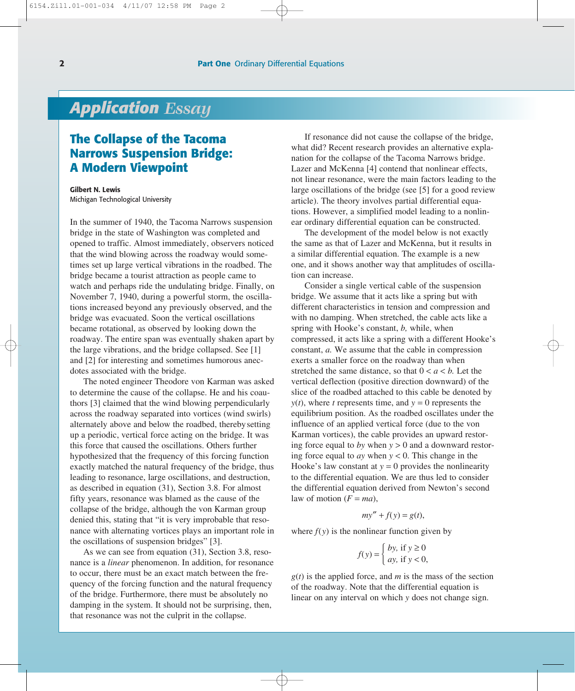**2 Part One** Ordinary Differential Equations

# *Application Essay*

## **The Collapse of the Tacoma Narrows Suspension Bridge: A Modern Viewpoint**

**Gilbert N. Lewis** Michigan Technological University

In the summer of 1940, the Tacoma Narrows suspension bridge in the state of Washington was completed and opened to traffic. Almost immediately, observers noticed that the wind blowing across the roadway would sometimes set up large vertical vibrations in the roadbed. The bridge became a tourist attraction as people came to watch and perhaps ride the undulating bridge. Finally, on November 7, 1940, during a powerful storm, the oscillations increased beyond any previously observed, and the bridge was evacuated. Soon the vertical oscillations became rotational, as observed by looking down the roadway. The entire span was eventually shaken apart by the large vibrations, and the bridge collapsed. See [1] and [2] for interesting and sometimes humorous anecdotes associated with the bridge.

The noted engineer Theodore von Karman was asked to determine the cause of the collapse. He and his coauthors [3] claimed that the wind blowing perpendicularly across the roadway separated into vortices (wind swirls) alternately above and below the roadbed, therebysetting up a periodic, vertical force acting on the bridge. It was this force that caused the oscillations. Others further hypothesized that the frequency of this forcing function exactly matched the natural frequency of the bridge, thus leading to resonance, large oscillations, and destruction, as described in equation (31), Section 3.8. For almost fifty years, resonance was blamed as the cause of the collapse of the bridge, although the von Karman group denied this, stating that "it is very improbable that resonance with alternating vortices plays an important role in the oscillations of suspension bridges" [3].

As we can see from equation (31), Section 3.8, resonance is a *linear* phenomenon. In addition, for resonance to occur, there must be an exact match between the frequency of the forcing function and the natural frequency of the bridge. Furthermore, there must be absolutely no damping in the system. It should not be surprising, then, that resonance was not the culprit in the collapse.

If resonance did not cause the collapse of the bridge, what did? Recent research provides an alternative explanation for the collapse of the Tacoma Narrows bridge. Lazer and McKenna [4] contend that nonlinear effects, not linear resonance, were the main factors leading to the large oscillations of the bridge (see [5] for a good review article). The theory involves partial differential equations. However, a simplified model leading to a nonlinear ordinary differential equation can be constructed.

The development of the model below is not exactly the same as that of Lazer and McKenna, but it results in a similar differential equation. The example is a new one, and it shows another way that amplitudes of oscillation can increase.

Consider a single vertical cable of the suspension bridge. We assume that it acts like a spring but with different characteristics in tension and compression and with no damping. When stretched, the cable acts like a spring with Hooke's constant, *b,* while, when compressed, it acts like a spring with a different Hooke's constant, *a.* We assume that the cable in compression exerts a smaller force on the roadway than when stretched the same distance, so that  $0 < a < b$ . Let the vertical deflection (positive direction downward) of the slice of the roadbed attached to this cable be denoted by  $y(t)$ , where *t* represents time, and  $y = 0$  represents the equilibrium position. As the roadbed oscillates under the influence of an applied vertical force (due to the von Karman vortices), the cable provides an upward restoring force equal to *by* when  $y > 0$  and a downward restoring force equal to *ay* when  $y < 0$ . This change in the Hooke's law constant at  $y = 0$  provides the nonlinearity to the differential equation. We are thus led to consider the differential equation derived from Newton's second law of motion  $(F = ma)$ ,

$$
my'' + f(y) = g(t),
$$

where  $f(y)$  is the nonlinear function given by

$$
f(y) = \begin{cases} by, & \text{if } y \ge 0 \\ ay, & \text{if } y < 0, \end{cases}
$$

 $g(t)$  is the applied force, and  $m$  is the mass of the section of the roadway. Note that the differential equation is linear on any interval on which *y* does not change sign.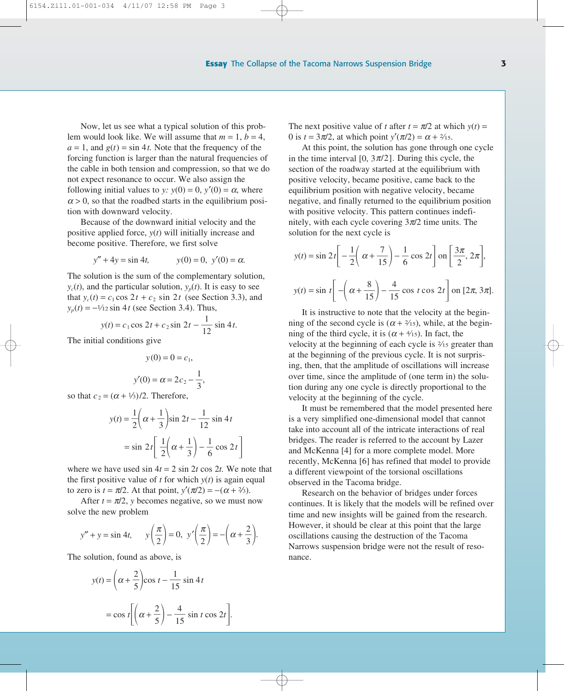Now, let us see what a typical solution of this problem would look like. We will assume that  $m = 1$ ,  $b = 4$ ,  $a = 1$ , and  $g(t) = \sin 4t$ . Note that the frequency of the forcing function is larger than the natural frequencies of the cable in both tension and compression, so that we do not expect resonance to occur. We also assign the following initial values to *y*:  $y(0) = 0$ ,  $y'(0) = \alpha$ , where  $\alpha$  > 0, so that the roadbed starts in the equilibrium position with downward velocity.

Because of the downward initial velocity and the positive applied force, *y*(*t*) will initially increase and become positive. Therefore, we first solve

$$
y'' + 4y = \sin 4t, \qquad y(0) = 0, \ y'(0) = \alpha.
$$

The solution is the sum of the complementary solution,  $y_c(t)$ , and the particular solution,  $y_p(t)$ . It is easy to see that  $y_c(t) = c_1 \cos 2t + c_2 \sin 2t$  (see Section 3.3), and  $y_p(t) = -\frac{1}{12} \sin 4t$  (see Section 3.4). Thus,

$$
y(t) = c_1 \cos 2t + c_2 \sin 2t - \frac{1}{12} \sin 4t.
$$

The initial conditions give

$$
y(0) = 0 = c_1,
$$
  

$$
y'(0) = \alpha = 2c_2 - \frac{1}{3},
$$

so that  $c_2 = (\alpha + \frac{1}{3})/2$ . Therefore,

$$
y(t) = \frac{1}{2}\left(\alpha + \frac{1}{3}\right)\sin 2t - \frac{1}{12}\sin 4t
$$

$$
= \sin 2t \left[\frac{1}{2}\left(\alpha + \frac{1}{3}\right) - \frac{1}{6}\cos 2t\right]
$$

where we have used  $\sin 4t = 2 \sin 2t \cos 2t$ . We note that the first positive value of  $t$  for which  $y(t)$  is again equal to zero is  $t = \pi/2$ . At that point,  $y'(\pi/2) = -(\alpha + 2/3)$ .

After  $t = \pi/2$ , *y* becomes negative, so we must now solve the new problem

$$
y'' + y = \sin 4t
$$
,  $y\left(\frac{\pi}{2}\right) = 0$ ,  $y'\left(\frac{\pi}{2}\right) = -\left(\alpha + \frac{2}{3}\right)$ .

The solution, found as above, is

$$
y(t) = \left(\alpha + \frac{2}{5}\right)\cos t - \frac{1}{15}\sin 4t
$$

$$
= \cos t \left[\left(\alpha + \frac{2}{5}\right) - \frac{4}{15}\sin t \cos 2t\right].
$$

The next positive value of *t* after  $t = \pi/2$  at which  $y(t) =$ 0 is  $t = 3\pi/2$ , at which point  $y'(\pi/2) = \alpha + \frac{2}{15}$ .

At this point, the solution has gone through one cycle in the time interval [0,  $3\pi/2$ ]. During this cycle, the section of the roadway started at the equilibrium with positive velocity, became positive, came back to the equilibrium position with negative velocity, became negative, and finally returned to the equilibrium position with positive velocity. This pattern continues indefinitely, with each cycle covering  $3\pi/2$  time units. The solution for the next cycle is

$$
y(t) = \sin 2t \left[ -\frac{1}{2} \left( \alpha + \frac{7}{15} \right) - \frac{1}{6} \cos 2t \right] \text{ on } \left[ \frac{3\pi}{2}, 2\pi \right],
$$
  

$$
y(t) = \sin t \left[ -\left( \alpha + \frac{8}{15} \right) - \frac{4}{15} \cos t \cos 2t \right] \text{ on } [2\pi, 3\pi].
$$

It is instructive to note that the velocity at the beginning of the second cycle is  $(\alpha + \frac{2}{15})$ , while, at the beginning of the third cycle, it is  $(\alpha + 4/15)$ . In fact, the velocity at the beginning of each cycle is 2⁄15 greater than at the beginning of the previous cycle. It is not surprising, then, that the amplitude of oscillations will increase over time, since the amplitude of (one term in) the solution during any one cycle is directly proportional to the velocity at the beginning of the cycle.

It must be remembered that the model presented here is a very simplified one-dimensional model that cannot take into account all of the intricate interactions of real bridges. The reader is referred to the account by Lazer and McKenna [4] for a more complete model. More recently, McKenna [6] has refined that model to provide a different viewpoint of the torsional oscillations observed in the Tacoma bridge.

Research on the behavior of bridges under forces continues. It is likely that the models will be refined over time and new insights will be gained from the research. However, it should be clear at this point that the large oscillations causing the destruction of the Tacoma Narrows suspension bridge were not the result of resonance.